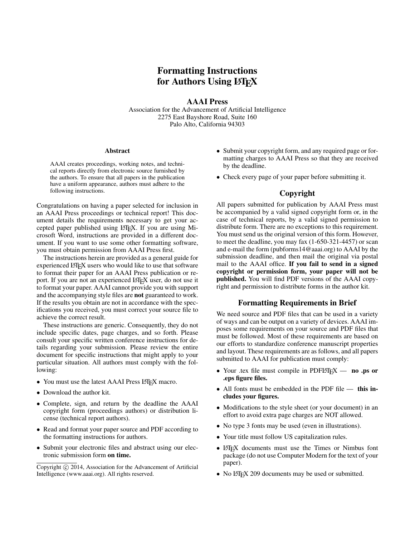# Formatting Instructions for Authors Using LAT<sub>EX</sub>

AAAI Press

Association for the Advancement of Artificial Intelligence 2275 East Bayshore Road, Suite 160 Palo Alto, California 94303

#### Abstract

AAAI creates proceedings, working notes, and technical reports directly from electronic source furnished by the authors. To ensure that all papers in the publication have a uniform appearance, authors must adhere to the following instructions.

Congratulations on having a paper selected for inclusion in an AAAI Press proceedings or technical report! This document details the requirements necessary to get your accepted paper published using LATEX. If you are using Microsoft Word, instructions are provided in a different document. If you want to use some other formatting software, you must obtain permission from AAAI Press first.

The instructions herein are provided as a general guide for experienced LATEX users who would like to use that software to format their paper for an AAAI Press publication or report. If you are not an experienced LATEX user, do not use it to format your paper. AAAI cannot provide you with support and the accompanying style files are not guaranteed to work. If the results you obtain are not in accordance with the specifications you received, you must correct your source file to achieve the correct result.

These instructions are generic. Consequently, they do not include specific dates, page charges, and so forth. Please consult your specific written conference instructions for details regarding your submission. Please review the entire document for specific instructions that might apply to your particular situation. All authors must comply with the following:

- You must use the latest AAAI Press LATEX macro.
- Download the author kit.
- Complete, sign, and return by the deadline the AAAI copyright form (proceedings authors) or distribution license (technical report authors).
- Read and format your paper source and PDF according to the formatting instructions for authors.
- Submit your electronic files and abstract using our electronic submission form on time.
- Submit your copyright form, and any required page or formatting charges to AAAI Press so that they are received by the deadline.
- Check every page of your paper before submitting it.

## Copyright

All papers submitted for publication by AAAI Press must be accompanied by a valid signed copyright form or, in the case of technical reports, by a valid signed permission to distribute form. There are no exceptions to this requirement. You must send us the original version of this form. However, to meet the deadline, you may fax (1-650-321-4457) or scan and e-mail the form (pubforms14@aaai.org) to AAAI by the submission deadline, and then mail the original via postal mail to the AAAI office. If you fail to send in a signed copyright or permission form, your paper will not be published. You will find PDF versions of the AAAI copyright and permission to distribute forms in the author kit.

### Formatting Requirements in Brief

We need source and PDF files that can be used in a variety of ways and can be output on a variety of devices. AAAI imposes some requirements on your source and PDF files that must be followed. Most of these requirements are based on our efforts to standardize conference manuscript properties and layout. These requirements are as follows, and all papers submitted to AAAI for publication must comply:

- Your .tex file must compile in PDFLAT<sub>EX</sub> no .ps or .eps figure files.
- All fonts must be embedded in the PDF file this includes your figures.
- Modifications to the style sheet (or your document) in an effort to avoid extra page charges are NOT allowed.
- No type 3 fonts may be used (even in illustrations).
- Your title must follow US capitalization rules.
- LATEX documents must use the Times or Nimbus font package (do not use Computer Modern for the text of your paper).
- No LATEX 209 documents may be used or submitted.

Copyright (c) 2014, Association for the Advancement of Artificial Intelligence (www.aaai.org). All rights reserved.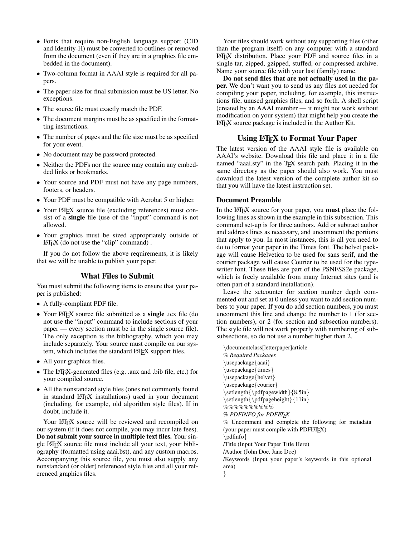- Fonts that require non-English language support (CID and Identity-H) must be converted to outlines or removed from the document (even if they are in a graphics file embedded in the document).
- Two-column format in AAAI style is required for all papers.
- The paper size for final submission must be US letter. No exceptions.
- The source file must exactly match the PDF.
- The document margins must be as specified in the formatting instructions.
- The number of pages and the file size must be as specified for your event.
- No document may be password protected.
- Neither the PDFs nor the source may contain any embedded links or bookmarks.
- Your source and PDF must not have any page numbers, footers, or headers.
- Your PDF must be compatible with Acrobat 5 or higher.
- Your LAT<sub>EX</sub> source file (excluding references) must consist of a single file (use of the "input" command is not allowed.
- Your graphics must be sized appropriately outside of  $LATEX$  (do not use the "clip" command).

If you do not follow the above requirements, it is likely that we will be unable to publish your paper.

### What Files to Submit

You must submit the following items to ensure that your paper is published:

- A fully-compliant PDF file.
- Your LATEX source file submitted as a **single** .tex file (do not use the "input" command to include sections of your paper — every section must be in the single source file). The only exception is the bibliography, which you may include separately. Your source must compile on our system, which includes the standard LATEX support files.
- All your graphics files.
- The LAT<sub>E</sub>X-generated files (e.g. .aux and .bib file, etc.) for your compiled source.
- All the nonstandard style files (ones not commonly found in standard LATEX installations) used in your document (including, for example, old algorithm style files). If in doubt, include it.

Your LAT<sub>E</sub>X source will be reviewed and recompiled on our system (if it does not compile, you may incur late fees). Do not submit your source in multiple text files. Your single L<sup>AT</sup>EX source file must include all your text, your bibliography (formatted using aaai.bst), and any custom macros. Accompanying this source file, you must also supply any nonstandard (or older) referenced style files and all your referenced graphics files.

Your files should work without any supporting files (other than the program itself) on any computer with a standard LATEX distribution. Place your PDF and source files in a single tar, zipped, gzipped, stuffed, or compressed archive. Name your source file with your last (family) name.

Do not send files that are not actually used in the paper. We don't want you to send us any files not needed for compiling your paper, including, for example, this instructions file, unused graphics files, and so forth. A shell script (created by an AAAI member — it might not work without modification on your system) that might help you create the LATEX source package is included in the Author Kit.

## Using LAT<sub>EX</sub> to Format Your Paper

The latest version of the AAAI style file is available on AAAI's website. Download this file and place it in a file named "aaai.sty" in the TEX search path. Placing it in the same directory as the paper should also work. You must download the latest version of the complete author kit so that you will have the latest instruction set.

#### Document Preamble

In the L<sup>AT</sup>EX source for your paper, you **must** place the following lines as shown in the example in this subsection. This command set-up is for three authors. Add or subtract author and address lines as necessary, and uncomment the portions that apply to you. In most instances, this is all you need to do to format your paper in the Times font. The helvet package will cause Helvetica to be used for sans serif, and the courier package will cause Courier to be used for the typewriter font. These files are part of the PSNFSS2e package, which is freely available from many Internet sites (and is often part of a standard installation).

Leave the setcounter for section number depth commented out and set at 0 unless you want to add section numbers to your paper. If you do add section numbers, you must uncomment this line and change the number to 1 (for section numbers), or 2 (for section and subsection numbers). The style file will not work properly with numbering of subsubsections, so do not use a number higher than 2.

\documentclass[letterpaper]article % *Required Packages* \usepackage{aaai} \usepackage{times} \usepackage{helvet} \usepackage{courier} \setlength{\pdfpagewidth}{8.5in} \setlength{\pdfpageheight}{11in}  $\% \% \% \% \% \% \% \% \% \%$  $%$  *PDFINFO for PDFEIFX* % Uncomment and complete the following for metadata (your paper must compile with PDFLHEX) \pdfinfo{ /Title (Input Your Paper Title Here) /Author (John Doe, Jane Doe) /Keywords (Input your paper's keywords in this optional area) }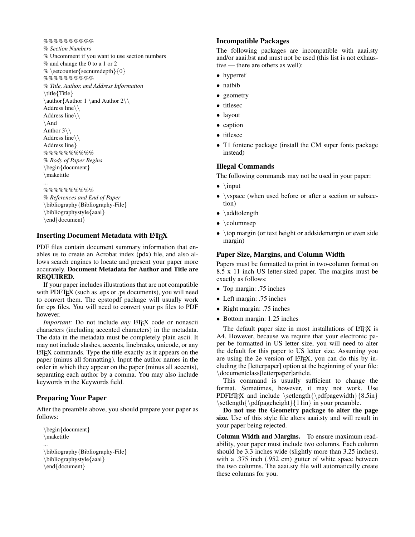%%%%%%%%%%%%%%%%%%%%%%%%%%%%%%%%%%%% % *Section Numbers* % Uncomment if you want to use section numbers % and change the 0 to a 1 or 2 % \setcounter {secnumdepth} {0} %%%%%%%%%% % *Title, Author, and Address Information* \title{Title} \author{Author 1 \and Author 2\\ Address line\\ Address line\\ \And Author  $3\backslash\backslash$ Address line\\ Address line}  $\%$ %%%%%%%%%%%%%%%%%%%%%%%%%%%%%% % *Body of Paper Begins* \begin{document} \maketitle ... %%%%%%%%%%

```
% References and End of Paper
\bibliography{Bibliography-File}
\bibliographystyle{aaai}
\end{document}
```
## Inserting Document Metadata with LATEX

PDF files contain document summary information that enables us to create an Acrobat index (pdx) file, and also allows search engines to locate and present your paper more accurately. Document Metadata for Author and Title are REQUIRED.

If your paper includes illustrations that are not compatible with PDFT<sub>EX</sub> (such as .eps or .ps documents), you will need to convert them. The epstopdf package will usually work for eps files. You will need to convert your ps files to PDF however.

*Important:* Do not include *any* LATEX code or nonascii characters (including accented characters) in the metadata. The data in the metadata must be completely plain ascii. It may not include slashes, accents, linebreaks, unicode, or any LATEX commands. Type the title exactly as it appears on the paper (minus all formatting). Input the author names in the order in which they appear on the paper (minus all accents), separating each author by a comma. You may also include keywords in the Keywords field.

## Preparing Your Paper

After the preamble above, you should prepare your paper as follows:

```
\begin{document}
\maketitle
...
```

```
\bibliography{Bibliography-File}
\bibliographystyle{aaai}
\end{document}
```
### Incompatible Packages

The following packages are incompatible with aaai.sty and/or aaai.bst and must not be used (this list is not exhaustive — there are others as well):

- hyperref
- natbib
- geometry
- titlesec
- layout
- caption
- titlesec
- T1 fontenc package (install the CM super fonts package instead)

## Illegal Commands

The following commands may not be used in your paper:

- $\bullet$  \input
- \vspace (when used before or after a section or subsection)
- \addtolength
- \columnsep
- \top margin (or text height or addsidemargin or even side margin)

### Paper Size, Margins, and Column Width

Papers must be formatted to print in two-column format on 8.5 x 11 inch US letter-sized paper. The margins must be exactly as follows:

- Top margin: .75 inches
- Left margin: .75 inches
- Right margin: .75 inches
- Bottom margin: 1.25 inches

The default paper size in most installations of LATEX is A4. However, because we require that your electronic paper be formatted in US letter size, you will need to alter the default for this paper to US letter size. Assuming you are using the 2e version of LAT<sub>EX</sub>, you can do this by including the [letterpaper] option at the beginning of your file: \documentclass[letterpaper]article.

This command is usually sufficient to change the format. Sometimes, however, it may not work. Use PDFLATEX and include  $\setminus {\text{pdf}}$ gewidth}{8.5in} \setlength{\pdfpageheight}{11in} in your preamble.

Do not use the Geometry package to alter the page size. Use of this style file alters aaai.sty and will result in your paper being rejected.

Column Width and Margins. To ensure maximum readability, your paper must include two columns. Each column should be 3.3 inches wide (slightly more than 3.25 inches), with a .375 inch (.952 cm) gutter of white space between the two columns. The aaai.sty file will automatically create these columns for you.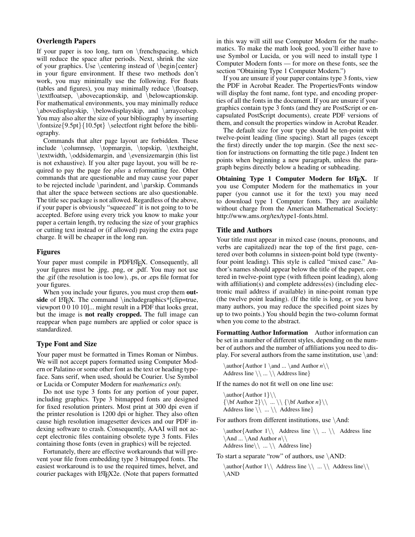### Overlength Papers

If your paper is too long, turn on \frenchspacing, which will reduce the space after periods. Next, shrink the size of your graphics. Use  $\centerdot$   $\centerdot$  instead of  $\begin{array}{c}$   $\centerdot$   $\centerdot$   $\centerdot$   $\centerdot$   $\centerdot$   $\centerdot$   $\centerdot$   $\centerdot$   $\centerdot$   $\centerdot$   $\centerdot$   $\centerdot$   $\centerdot$   $\centerdot$   $\centerdot$   $\centerdot$   $\centerdot$   $\centerdot$   $\centerdot$   $\centerdot$   $\centerdot$   $\centerdot$   $\centerdot$   $\centerdot$   $\centerdot$   $\centerdot$   $\centerdot$   $\centerdot$ in your figure environment. If these two methods don't work, you may minimally use the following. For floats (tables and figures), you may minimally reduce \floatsep, \textfloatsep, \abovecaptionskip, and \belowcaptionskip. For mathematical environments, you may minimally reduce \abovedisplayskip, \belowdisplayskip, and \arraycolsep. You may also alter the size of your bibliography by inserting  $\left\{9.5pt\{10.5pt\} \selectfont right before the bibli$ ography.

Commands that alter page layout are forbidden. These include \columnsep, \topmargin, \topskip, \textheight, \textwidth, \oddsidemargin, and \evensizemargin (this list is not exhaustive). If you alter page layout, you will be required to pay the page fee *plus* a reformatting fee. Other commands that are questionable and may cause your paper to be rejected include \parindent, and \parskip. Commands that alter the space between sections are also questionable. The title sec package is not allowed. Regardless of the above, if your paper is obviously "squeezed" it is not going to to be accepted. Before using every trick you know to make your paper a certain length, try reducing the size of your graphics or cutting text instead or (if allowed) paying the extra page charge. It will be cheaper in the long run.

## Figures

Your paper must compile in PDFLATEX. Consequently, all your figures must be .jpg, .png, or .pdf. You may not use the .gif (the resolution is too low), .ps, or .eps file format for your figures.

When you include your figures, you must crop them outside of LATEX. The command  $\in$  lincludegraphics\*[clip=true, viewport 0 0 10 10]... might result in a PDF that looks great, but the image is not really cropped. The full image can reappear when page numbers are applied or color space is standardized.

## Type Font and Size

Your paper must be formatted in Times Roman or Nimbus. We will not accept papers formatted using Computer Modern or Palatino or some other font as the text or heading typeface. Sans serif, when used, should be Courier. Use Symbol or Lucida or Computer Modern for *mathematics only.*

Do not use type 3 fonts for any portion of your paper, including graphics. Type 3 bitmapped fonts are designed for fixed resolution printers. Most print at 300 dpi even if the printer resolution is 1200 dpi or higher. They also often cause high resolution imagesetter devices and our PDF indexing software to crash. Consequently, AAAI will not accept electronic files containing obsolete type 3 fonts. Files containing those fonts (even in graphics) will be rejected.

Fortunately, there are effective workarounds that will prevent your file from embedding type 3 bitmapped fonts. The easiest workaround is to use the required times, helvet, and courier packages with LATEX2e. (Note that papers formatted

in this way will still use Computer Modern for the mathematics. To make the math look good, you'll either have to use Symbol or Lucida, or you will need to install type 1 Computer Modern fonts — for more on these fonts, see the section "Obtaining Type 1 Computer Modern.")

If you are unsure if your paper contains type 3 fonts, view the PDF in Acrobat Reader. The Properties/Fonts window will display the font name, font type, and encoding properties of all the fonts in the document. If you are unsure if your graphics contain type 3 fonts (and they are PostScript or encapsulated PostScript documents), create PDF versions of them, and consult the properties window in Acrobat Reader.

The default size for your type should be ten-point with twelve-point leading (line spacing). Start all pages (except the first) directly under the top margin. (See the next section for instructions on formatting the title page.) Indent ten points when beginning a new paragraph, unless the paragraph begins directly below a heading or subheading.

Obtaining Type 1 Computer Modern for LATEX. If you use Computer Modern for the mathematics in your paper (you cannot use it for the text) you may need to download type 1 Computer fonts. They are available without charge from the American Mathematical Society: http://www.ams.org/tex/type1-fonts.html.

## Title and Authors

Your title must appear in mixed case (nouns, pronouns, and verbs are capitalized) near the top of the first page, centered over both columns in sixteen-point bold type (twentyfour point leading). This style is called "mixed case." Author's names should appear below the title of the paper, centered in twelve-point type (with fifteen point leading), along with affiliation(s) and complete address(es) (including electronic mail address if available) in nine-point roman type (the twelve point leading). (If the title is long, or you have many authors, you may reduce the specified point sizes by up to two points.) You should begin the two-column format when you come to the abstract.

Formatting Author Information Author information can be set in a number of different styles, depending on the number of authors and the number of affiliations you need to display. For several authors from the same institution, use  $\lambda$  and:

\author{Author 1 \and ... \and Author *n*\\ Address line  $\langle \, \rangle$  ...  $\langle \, \rangle$  Address line

If the names do not fit well on one line use:

\author { Author 1 } \\  ${\bf \dagger 2}\ \ . . . \ \ \ {\bf \dagger 2} \ \ . . . \ \ } \$ Address line  $\langle \rangle$  ...  $\langle \rangle$  Address line }

For authors from different institutions, use  $\lambda$ nd:

 $\lambda$ uthor  $\{$ Author  $1\backslash$  Address line  $\backslash$  ...  $\backslash$  Address line  $\lambda$ ...  $\And$  Author *n* Address line\\ ... \\ Address line}

To start a separate "row" of authors, use \AND:

 $\{\alpha\$  /  $\Lambda$  4ddress line  $\|\cdot\|$  Address line \\  $\Lambda$  Address line \\  $\Lambda$ \AND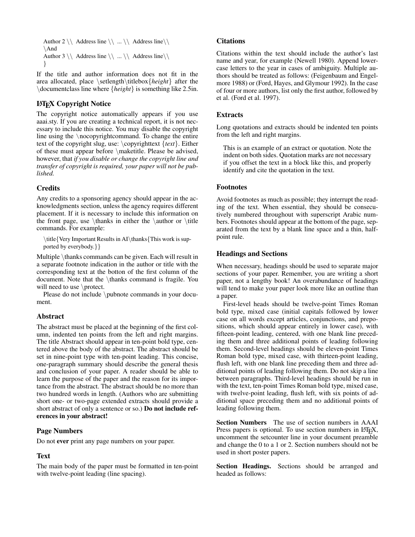```
Author 2 \\ Address line \\ ... \\ Address line\\
\And
Author 3 \\ Address line \\ ... \\ Address line\\
}
```
If the title and author information does not fit in the area allocated, place \setlength\titlebox{*height*} after the \documentclass line where {*height*} is something like 2.5in.

## LATEX Copyright Notice

The copyright notice automatically appears if you use aaai.sty. If you are creating a technical report, it is not necessary to include this notice. You may disable the copyright line using the \nocopyrightcommand. To change the entire text of the copyright slug, use: \copyrighttext {*text*}. Either of these must appear before \maketitle. Please be advised, however, that *if you disable or change the copyright line and transfer of copyright is required, your paper will not be published.*

## **Credits**

Any credits to a sponsoring agency should appear in the acknowledgments section, unless the agency requires different placement. If it is necessary to include this information on the front page, use  $\thanks$  in either the  $\author$  or  $\title$ commands. For example:

\title{Very Important Results in AI\thanks{This work is supported by everybody.}}

Multiple \thanks commands can be given. Each will result in a separate footnote indication in the author or title with the corresponding text at the botton of the first column of the document. Note that the \thanks command is fragile. You will need to use \protect.

Please do not include \pubnote commands in your document.

## Abstract

The abstract must be placed at the beginning of the first column, indented ten points from the left and right margins. The title Abstract should appear in ten-point bold type, centered above the body of the abstract. The abstract should be set in nine-point type with ten-point leading. This concise, one-paragraph summary should describe the general thesis and conclusion of your paper. A reader should be able to learn the purpose of the paper and the reason for its importance from the abstract. The abstract should be no more than two hundred words in length. (Authors who are submitting short one- or two-page extended extracts should provide a short abstract of only a sentence or so.) Do not include references in your abstract!

## Page Numbers

Do not ever print any page numbers on your paper.

## Text

The main body of the paper must be formatted in ten-point with twelve-point leading (line spacing).

## **Citations**

Citations within the text should include the author's last name and year, for example (Newell 1980). Append lowercase letters to the year in cases of ambiguity. Multiple authors should be treated as follows: (Feigenbaum and Engelmore 1988) or (Ford, Hayes, and Glymour 1992). In the case of four or more authors, list only the first author, followed by et al. (Ford et al. 1997).

## **Extracts**

Long quotations and extracts should be indented ten points from the left and right margins.

This is an example of an extract or quotation. Note the indent on both sides. Quotation marks are not necessary if you offset the text in a block like this, and properly identify and cite the quotation in the text.

## Footnotes

Avoid footnotes as much as possible; they interrupt the reading of the text. When essential, they should be consecutively numbered throughout with superscript Arabic numbers. Footnotes should appear at the bottom of the page, separated from the text by a blank line space and a thin, halfpoint rule.

## Headings and Sections

When necessary, headings should be used to separate major sections of your paper. Remember, you are writing a short paper, not a lengthy book! An overabundance of headings will tend to make your paper look more like an outline than a paper.

First-level heads should be twelve-point Times Roman bold type, mixed case (initial capitals followed by lower case on all words except articles, conjunctions, and prepositions, which should appear entirely in lower case), with fifteen-point leading, centered, with one blank line preceding them and three additional points of leading following them. Second-level headings should be eleven-point Times Roman bold type, mixed case, with thirteen-point leading, flush left, with one blank line preceding them and three additional points of leading following them. Do not skip a line between paragraphs. Third-level headings should be run in with the text, ten-point Times Roman bold type, mixed case, with twelve-point leading, flush left, with six points of additional space preceding them and no additional points of leading following them.

Section Numbers The use of section numbers in AAAI Press papers is optional. To use section numbers in LAT<sub>EX</sub>, uncomment the setcounter line in your document preamble and change the 0 to a 1 or 2. Section numbers should not be used in short poster papers.

Section Headings. Sections should be arranged and headed as follows: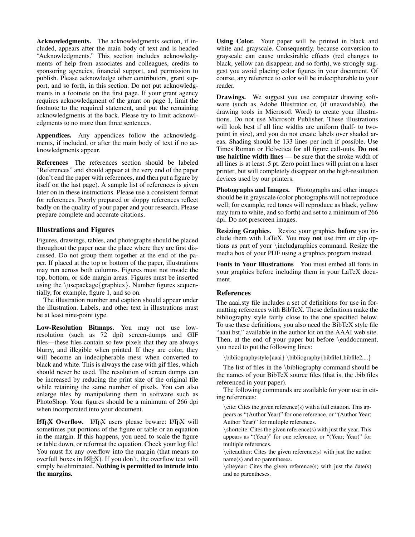Acknowledgments. The acknowledgments section, if included, appears after the main body of text and is headed "Acknowledgments." This section includes acknowledgments of help from associates and colleagues, credits to sponsoring agencies, financial support, and permission to publish. Please acknowledge other contributors, grant support, and so forth, in this section. Do not put acknowledgments in a footnote on the first page. If your grant agency requires acknowledgment of the grant on page 1, limit the footnote to the required statement, and put the remaining acknowledgments at the back. Please try to limit acknowledgments to no more than three sentences.

Appendices. Any appendices follow the acknowledgments, if included, or after the main body of text if no acknowledgments appear.

References The references section should be labeled "References" and should appear at the very end of the paper (don't end the paper with references, and then put a figure by itself on the last page). A sample list of references is given later on in these instructions. Please use a consistent format for references. Poorly prepared or sloppy references reflect badly on the quality of your paper and your research. Please prepare complete and accurate citations.

### Illustrations and Figures

Figures, drawings, tables, and photographs should be placed throughout the paper near the place where they are first discussed. Do not group them together at the end of the paper. If placed at the top or bottom of the paper, illustrations may run across both columns. Figures must not invade the top, bottom, or side margin areas. Figures must be inserted using the  $\usepackage{graphicx}$ . Number figures sequentially, for example, figure 1, and so on.

The illustration number and caption should appear under the illustration. Labels, and other text in illustrations must be at least nine-point type.

Low-Resolution Bitmaps. You may not use lowresolution (such as 72 dpi) screen-dumps and GIF files—these files contain so few pixels that they are always blurry, and illegible when printed. If they are color, they will become an indecipherable mess when converted to black and white. This is always the case with gif files, which should never be used. The resolution of screen dumps can be increased by reducing the print size of the original file while retaining the same number of pixels. You can also enlarge files by manipulating them in software such as PhotoShop. Your figures should be a minimum of 266 dpi when incorporated into your document.

LATEX Overflow. LATEX users please beware: LATEX will sometimes put portions of the figure or table or an equation in the margin. If this happens, you need to scale the figure or table down, or reformat the equation. Check your log file! You must fix any overflow into the margin (that means no overfull boxes in L<sup>AT</sup>EX). If you don't, the overflow text will simply be eliminated. Nothing is permitted to intrude into the margins.

Using Color. Your paper will be printed in black and white and grayscale. Consequently, because conversion to grayscale can cause undesirable effects (red changes to black, yellow can disappear, and so forth), we strongly suggest you avoid placing color figures in your document. Of course, any reference to color will be indecipherable to your reader.

Drawings. We suggest you use computer drawing software (such as Adobe Illustrator or, (if unavoidable), the drawing tools in Microsoft Word) to create your illustrations. Do not use Microsoft Publisher. These illustrations will look best if all line widths are uniform (half- to twopoint in size), and you do not create labels over shaded areas. Shading should be 133 lines per inch if possible. Use Times Roman or Helvetica for all figure call-outs. Do not use hairline width lines — be sure that the stroke width of all lines is at least .5 pt. Zero point lines will print on a laser printer, but will completely disappear on the high-resolution devices used by our printers.

Photographs and Images. Photographs and other images should be in grayscale (color photographs will not reproduce well; for example, red tones will reproduce as black, yellow may turn to white, and so forth) and set to a minimum of 266 dpi. Do not prescreen images.

Resizing Graphics. Resize your graphics before you include them with LaTeX. You may not use trim or clip options as part of your \includgraphics command. Resize the media box of your PDF using a graphics program instead.

Fonts in Your Illustrations You must embed all fonts in your graphics before including them in your LaTeX document.

#### References

The aaai.sty file includes a set of definitions for use in formatting references with BibTeX. These definitions make the bibliography style fairly close to the one specified below. To use these definitions, you also need the BibTeX style file "aaai.bst," available in the author kit on the AAAI web site. Then, at the end of your paper but before \enddocument, you need to put the following lines:

\bibliographystyle{aaai} \bibliography{bibfile1,bibfile2,...}

The list of files in the \bibliography command should be the names of your BibTeX source files (that is, the .bib files referenced in your paper).

The following commands are available for your use in citing references:

\cite: Cites the given reference(s) with a full citation. This appears as "(Author Year)" for one reference, or "(Author Year; Author Year)" for multiple references.

 $\verb|\shortcite|: Cites the given reference(s) with just the year. This$ appears as "(Year)" for one reference, or "(Year; Year)" for multiple references.

\citeauthor: Cites the given reference(s) with just the author name(s) and no parentheses.

 $\citeyear: \Cites the given reference(s) with just the date(s)$ and no parentheses.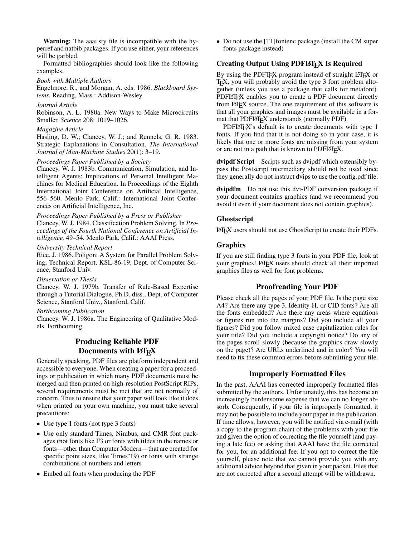Warning: The aaai.sty file is incompatible with the hyperref and natbib packages. If you use either, your references will be garbled.

Formatted bibliographies should look like the following examples.

#### *Book with Multiple Authors*

Engelmore, R., and Morgan, A. eds. 1986. *Blackboard Systems.* Reading, Mass.: Addison-Wesley.

#### *Journal Article*

Robinson, A. L. 1980a. New Ways to Make Microcircuits Smaller. *Science* 208: 1019–1026.

#### *Magazine Article*

Hasling, D. W.; Clancey, W. J.; and Rennels, G. R. 1983. Strategic Explanations in Consultation. *The International Journal of Man-Machine Studies* 20(1): 3–19.

#### *Proceedings Paper Published by a Society*

Clancey, W. J. 1983b. Communication, Simulation, and Intelligent Agents: Implications of Personal Intelligent Machines for Medical Education. In Proceedings of the Eighth International Joint Conference on Artificial Intelligence, 556–560. Menlo Park, Calif.: International Joint Conferences on Artificial Intelligence, Inc.

*Proceedings Paper Published by a Press or Publisher* Clancey, W. J. 1984. Classification Problem Solving. In *Proceedings of the Fourth National Conference on Artificial Intelligence,* 49–54. Menlo Park, Calif.: AAAI Press.

#### *University Technical Report*

Rice, J. 1986. Poligon: A System for Parallel Problem Solving, Technical Report, KSL-86-19, Dept. of Computer Science, Stanford Univ.

*Dissertation or Thesis*

Clancey, W. J. 1979b. Transfer of Rule-Based Expertise through a Tutorial Dialogue. Ph.D. diss., Dept. of Computer Science, Stanford Univ., Stanford, Calif.

#### *Forthcoming Publication*

Clancey, W. J. 1986a. The Engineering of Qualitative Models. Forthcoming.

## Producing Reliable PDF Documents with LATEX

Generally speaking, PDF files are platform independent and accessible to everyone. When creating a paper for a proceedings or publication in which many PDF documents must be merged and then printed on high-resolution PostScript RIPs, several requirements must be met that are not normally of concern. Thus to ensure that your paper will look like it does when printed on your own machine, you must take several precautions:

- Use type 1 fonts (not type 3 fonts)
- Use only standard Times, Nimbus, and CMR font packages (not fonts like F3 or fonts with tildes in the names or fonts—other than Computer Modern—that are created for specific point sizes, like Times~19) or fonts with strange combinations of numbers and letters
- Embed all fonts when producing the PDF

• Do not use the [T1] fontenc package (install the CM super fonts package instead)

### Creating Output Using PDFLAT<sub>EX</sub> Is Required

By using the PDFT<sub>F</sub>X program instead of straight LAT<sub>F</sub>X or T<sub>EX</sub>, you will probably avoid the type 3 font problem altogether (unless you use a package that calls for metafont). PDFLATEX enables you to create a PDF document directly from LAT<sub>E</sub>X source. The one requirement of this software is that all your graphics and images must be available in a format that PDFLATEX understands (normally PDF).

PDFLATEX's default is to create documents with type 1 fonts. If you find that it is not doing so in your case, it is likely that one or more fonts are missing from your system or are not in a path that is known to PDFLATEX.

dvipdf Script Scripts such as dvipdf which ostensibly bypass the Postscript intermediary should not be used since they generally do not instruct dvips to use the config.pdf file.

dvipdfm Do not use this dvi-PDF conversion package if your document contains graphics (and we recommend you avoid it even if your document does not contain graphics).

#### Ghostscript

LATEX users should not use GhostScript to create their PDFs.

### Graphics

If you are still finding type 3 fonts in your PDF file, look at your graphics! LATEX users should check all their imported graphics files as well for font problems.

## Proofreading Your PDF

Please check all the pages of your PDF file. Is the page size A4? Are there any type 3, Identity-H, or CID fonts? Are all the fonts embedded? Are there any areas where equations or figures run into the margins? Did you include all your figures? Did you follow mixed case capitalization rules for your title? Did you include a copyright notice? Do any of the pages scroll slowly (because the graphics draw slowly on the page)? Are URLs underlined and in color? You will need to fix these common errors before submitting your file.

#### Improperly Formatted Files

In the past, AAAI has corrected improperly formatted files submitted by the authors. Unfortunately, this has become an increasingly burdensome expense that we can no longer absorb. Consequently, if your file is improperly formatted, it may not be possible to include your paper in the publication. If time allows, however, you will be notified via e-mail (with a copy to the program chair) of the problems with your file and given the option of correcting the file yourself (and paying a late fee) or asking that AAAI have the file corrected for you, for an additional fee. If you opt to correct the file yourself, please note that we cannot provide you with any additional advice beyond that given in your packet. Files that are not corrected after a second attempt will be withdrawn.